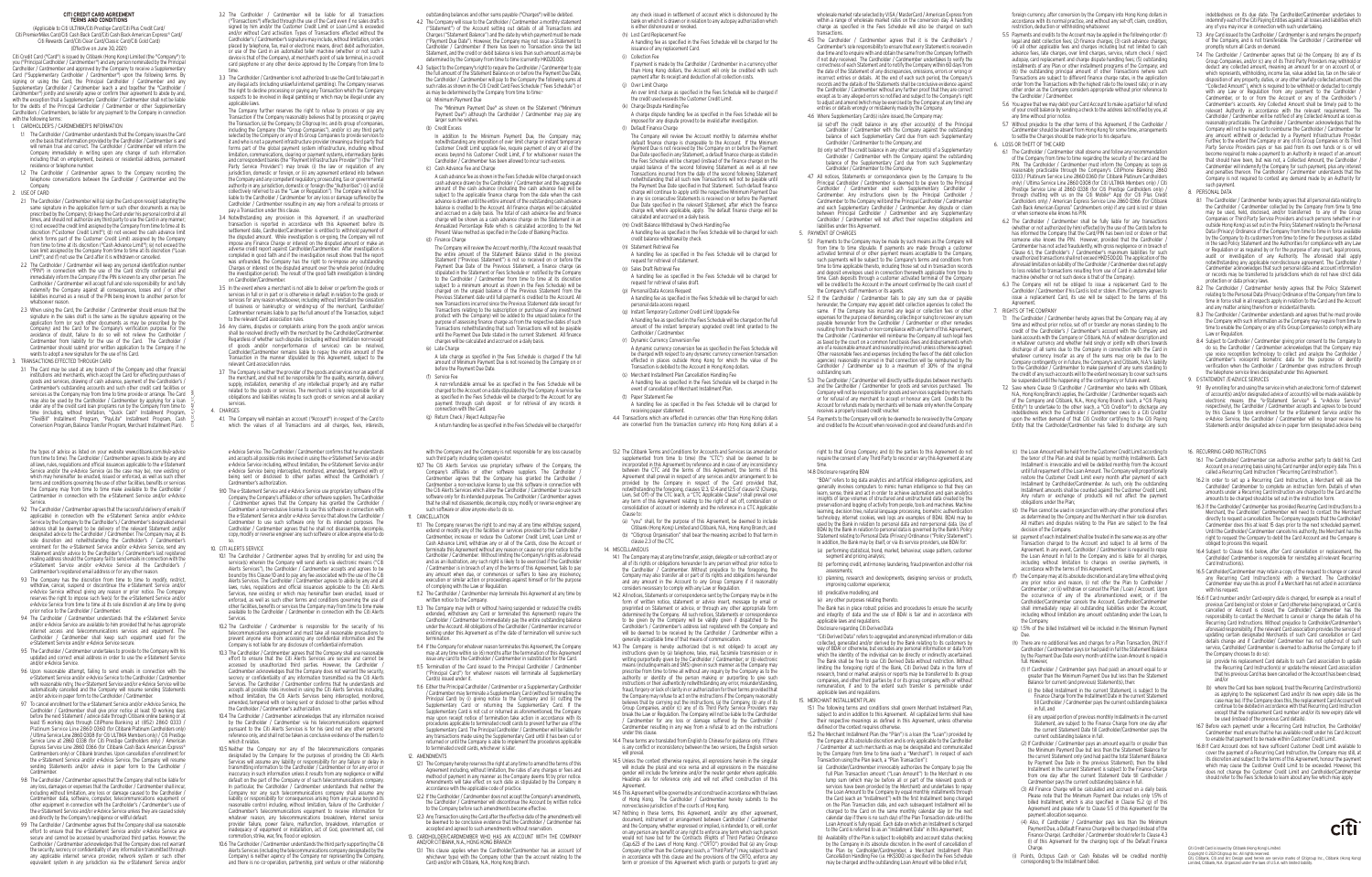wholesale market rate selected by VISA / MasterCard / American Express from within a range of wholesale market rates on the conversion day. A handling charge as specified in the Fees Schedule will also be charged on such

- transactions. 4.5 The Cardholder / Cardmember agrees that it is the Cardholder's / Cardmember's sole responsibility to ensure that every Statement is received in due time and to enquire with and obtain the same from the Company forthwith if not duly received. The Cardholder / Cardmember undertakes to verify the correctness of each Statement and to notify the Company within 60 days from the date of the Statement of any discrepancies, omissions, errors or wrong or incorrect entries or details. At the end of each such period, the Company's records and the details of the Statements shall be conclusive evidence agains the Cardholder / Cardmember without any further proof that they are correct except as to any alleged errors so notified and subject to the Company's right to adjust and amend (which may be exercised by the Company at any time) any entries or details wrongly or mistakenly made by the Company.
- 4.6 Where Supplementary Card(s) is/are issued, the Company may:
- (a) set-off the credit balance in any other account(s) of the Principal Cardholder / Cardmember with the Company against the outstanding balance of each Supplementary Card due from each Supplementary Cardholder / Cardmember to the Company; and
- (b) only set-off the credit balance in any other account(s) of a Supplementary Cardholder / Cardmember with the Company against the outstanding balance of the Supplementary Card due from such Supplementary Cardholder / Cardmember to the Company.
- 4.7 All notices, Statements or correspondence given by the Company to the Principal Cardholder / Cardmember is deemed to be given to the Principal Cardholder / Cardmember and each Supplementary Cardholder / Cardmember. Any instructions given by the Principal Cardholder Cardmember to the Company will bind the Principal Cardholder / Cardmember and each Supplementary Cardholder / Cardmember. Any dispute or claim between Principal Cardholder / Cardmember and any Supplementar Cardholder / Cardmember will not affect their respective obligations and liabilities under this Agreement.
- 5. PAYMENT OF CHARGES
- 5.1 Payments to the Company may be made by such means as the Company will from time to time stipulate. If payments are made through a customer activated terminal of or other payment means acceptable to the Company, such payments will be subject to the Company's terms and conditions fro time to time applicable thereto, including those set out in transaction records and deposit envelopes used in connection therewith applicable from time to time. Cash deposits through a customer activated terminal of the Company will be credited to the Account in the amount confirmed by the cash count o the Company's staff members or its agents.
- 5.2 If the Cardholder / Cardmember fails to pay any sum due or payable hereunder, the Company may appoint debt collection agencies to collect the same. If the Company has incurred any legal or collection fees or other expenses for the purpose of demanding, collecting or suing to recover any sum payable hereunder from the Cardholder / Cardmember or other remedies resulting from the breach or non-compliance with any term of this Agreement, the Cardholder / Cardmember will reimburse the Company all such legal fees as taxed by the court on a common fund basis (fees and disbursements whic are of a reasonable amount and reasonably incurred) unless otherwise agreed. Other reasonable fees and expenses (including the fees of the debt collection agencies) reasonably incurred in that connection will be reimbursed by the Cardholder / Cardmember up to a maximum of 30% of the original outstanding sum.
- 5.3 The Cardholder / Cardmember will directly settle disputes between merchants and the Cardholder / Cardmember for goods and services purchased. The Company will not be responsible for goods and services supplied by merchant  $\,$ or for refusal of any merchant to accept or honour any Card. Credits to the Account for refunds made by merchants will be made only when the Company receives a properly issued credit voucher.
- 5.4 Payments to the Company will only be deemed to be received by the Company and credited to the Account when received in good and cleared funds and if in

#### **CITI CREDIT CARD AGREEMENT TERMS AND CONDITIONS**

(Applicable to Citi ULTIMA/Citi Prestige Card/Citi Plus Credit Card/ Citi PremierMiles Card/Citi Cash Back Card/Citi Cash Back American Express® Card/ Citi Rewards Card/Citi Clear Card/Classic Card/Citi Gold Card)

(Effective on June 30, 2021)

Citi Credit Card ("Card") is issued by Citibank (Hong Kong) Limited (the "Company") to you ("Principal Cardholder / Cardmember") and any person nominated by the Principal Cardholder / Cardmember and approved by the Company to receive a Supplementary Card ("Supplementary Cardholder / Cardmember") upon the following terms. By signing or using the Card, the Principal Cardholder / Cardmember and any Supplementary Cardholder / Cardmember (each a and together the "Cardholder / Cardmember") jointly and severally agree or confirm their agreement to abide by and, with the exception that a Supplementary Cardholder / Cardmember shall not be liable for the debts of the Principal Cardholder / Cardmember or other Supplementary Cardholders / Cardmembers, be liable for any payment to the Company in connection with the following terms

The Company further reserves the right to refuse to process or pay any Transaction if the Company reasonably believes that by processing or paying the Transaction, (a) the Company, (b) Citigroup Inc. and its group of companies, including the Company (the "Group Companies"), and/or (c) any third party selected by the Company or any of its Group Companies to provide services to it and who is not a payment infrastructure provider (meaning a third party that forms part of the global payment system infrastructure, including without limitation, communications, clearing or payment systems, intermediary banks and correspondent banks (the "Payment Infrastructure Provider")) (the "Third Party Service Providers") may break (i) the law or regulation of any jurisdiction, domestic or foreign, or (ii) any agreement entered into between the Company and any competent regulatory, prosecuting, tax or governmental authority in any jurisdiction, domestic or foreign (the "Authorities") ((i) and (ii) collectively referred to as the "Law or Regulation"). The Company will not be liable to the Cardholder / Cardmember for any loss or damage suffered by the Cardholder / Cardmember resulting in any way from a refusal to process or pay a Transaction under this clause.

- 3.4 Notwithstanding any provision in this Agreement, if an unauthorized transaction is reported in accordance with this Agreement before its settlement date, Cardholder/Cardmember is entitled to withhold payment of the disputed amount. While investigation is on-going, the Company will not impose any Finance Charge or interest on the disputed amount or make an adverse credit report against Cardholder/Cardmember. After investigation is completed in good faith and if the investigation result shows that the report was unfounded, the Company has the right to re-impose any outstanding Charges or interest on the disputed amount over the whole period (including the investigation period). The result of the good faith investigation is binding on Cardholder/Cardmember.
- 3.5 In the event where a merchant is not able to deliver or perform the goods or services in full or in part or is otherwise in default in relation to the goods or services for any reason whatsoever, including without limitation the cessation of business or bankruptcy or winding-up of the merchant, Cardholder, Cardmember remains liable to pay the full amount of the Transaction, subject to the relevant Card association rules.
- 3.6 Any claims, disputes or complaints arising from the goods and/or services shall be resolved directly with the merchant by the Cardholder/Cardmember. Regardless of whether such disputes (including without limitation non-receipt of goods and/or non-performance of services) can be resolved, Cardholder/Cardmember remains liable to repay the entire amount of the Transaction in the manner stipulated by this Agreement, subject to the relevant Card association rules.
- 3.7 The Company is neither the provider of the goods and services nor an agent of the merchant, and shall not be responsible for the quality, warranty, delivery, supply, installation, ownership of any intellectual property and any matter related to the goods or services. The merchant is solely responsible for all obligations and liabilities relating to such goods or services and all auxiliary services.
- 4. CHARGES
- 4.1. The Company will maintain an account ("Account") in respect of the Card to which the values of all Transactions and all charges, fees, interests,
- In addition to the Minimum Payment Due, the Company may notwithstanding any imposition of over limit charge or instant temporary Customer Credit Limit upgrade fee, require payment of any or all of the excess beyond his Customer Credit Limit, if for whatsoever reason the Cardholder / Cardmember has been allowed to incur such excess. (c) Cash Advance Fee and Charge
- A cash advance fee as shown in the Fees Schedule will be charged on each cash advance drawn by the Cardholder / Cardmember and the aggregate amount of the cash advance (including the cash advance fee) will be subject to the applicable finance charge from the date when the cash advance is drawn until the entire amount of the outstanding cash advance balance is credited to the Account. All finance charges will be calculated and accrued on a daily basis. The total of cash advance fee and finance charge will be shown as a cash advance charge on the Statement in an Annualized Percentage Rate which is calculated according to the Net Present Value method as specified in the Code of Banking Practice.
- (d) Finance Charge
- The Company will review the Account monthly, if the Account reveals that the entire amount of the Statement Balance stated in the previous Statement ("Previous Statement") is not so received on or before the Payment Due Date of the Previous Statement, a finance charge (as stipulated in the Statement or Fees Schedule or notified by the Company to the Cardholder / Cardmember from time to time at its discretion subject to a minimum amount as shown in the Fees Schedule) will be charged on the unpaid balance of the Previous Statement from the Previous Statement date until full payment is credited to the Account. All new Transactions incurred since the Previous Statement date (except for Transactions relating to the subscription or purchase of any investment product with the Company) will be added to the unpaid balance for the purpose of assessing finance charge as from the respective dates of such Transactions notwithstanding that such Transactions will not be payable until the Payment Due Date stated in the current Statement. All finance charges will be calculated and accrued on a daily basis.
- (i) Collection Fee payment after its receipt and deduction of all collection costs.
- (j) Over Limit Charge (k) Charge Dispute Handling Fee
- (l) Default Finance Charge
- (m) Credit Balance Withdrawal by Check Handling Fee
- (n) Statement Retrieval Fee (o) Sales Draft Retrieval Fee
- (p) Personal Data Access Request personal data access request.
- Cardholder / Cardmember.
- (r) Dynamic Currency Conversion Fee
- (t) Paper Statement Fee
- receiving paper statement.
- Clause to:
- 
- clause 2.3 of the CTC. 14. MISCELLANEOUS
- 
- 
- 
- under this clause. will prevail.
- Agreement
- 
- 3.2 The Cardholder / Cardmember will be liable for all transactions ("Transactions") effected through the use of the Card even if no sales draft is signed by him and/or the Customer Credit Limit or Loan Limit is exceeded and/or without Card activation. Types of Transactions effected without the Cardholder's / Cardmember's signature may include, without limitation, orders placed by telephone, fax, mail or electronic means, direct debit authorization, or use of the Card in an automated teller machine (whether or not such a device is that of the Company), at merchant's point of sale terminal, in a credit card payphone or any other device approved by the Company from time to time.
- 3.3 The Cardholder / Cardmember is not authorized to use the Card to take part in any illegal acts (including unlawful internet gambling). The Company reserves the right to decline processing or paying any Transaction which the Company suspects to be involved in illegal gambling or which may be illegal under any applicable laws.

outstanding balances and other sums payable ("Charges") will be debited.

- 4.2 The Company will issue to the Cardholder / Cardmember a monthly statement ("Statement") of the Account setting out details of all Transactions and Charges ("Statement Balance") and the date by which payment must be made ("Payment Due Date"). However, the Company may not issue a Statement to Cardholder / Cardmember if there has been no Transaction since the last Statement, and the credit or debit balance is less than such amount as may be determined by the Company from time to time (currently HKD20.00).
- 4.3 Subject to the Company's right to require the Cardholder / Cardmember to pay the full amount of the Statement Balance on or before the Payment Due Date, the Cardholder / Cardmember will pay to the Company the following sums at such rates as shown in the Citi Credit Card Fees Schedule ("Fees Schedule") or as may be determined by the Company from time to time:-
- (a) Minimum Payment Due

 The "Minimum Payment Due" as shown on the Statement ("Minimum Payment Due") although the Cardholder / Cardmember may pay any larger sum he wishes. (b) Credit Excess

(e) Late Charge

 A late charge as specified in the Fees Schedule is charged if the full amount of Minimum Payment Due is not received by the Company on or before the Payment Due Date.

(f) Service Fee

 A non-refundable annual fee as specified in the Fees Schedule will be charged to the Account on a date stipulated by the Company. A service fee as specified in the Fees Schedule will be charged to the Account for any payment through cash deposit or for retrieval of any records in connection with the Card.

(g) Return Check / Reject Autopay Fee

A return handling fee as specified in the Fees Schedule will be charged for

any check issued in settlement of account which is dishonoured by the bank on which it is drawn or in relation to any autopay authorization which is either dishonoured or revoked.

(h) Lost Card Replacement Fee

 A handling fee as specified in the Fees Schedule will be charged for the issuance of any replacement Card.

 If payment is made by the Cardholder / Cardmember in a currency other than Hong Kong dollars, the Account will only be credited with such

 An over limit charge as specified in the Fees Schedule will be charged if the credit used exceeds the Customer Credit Limit.

 A charge dispute handling fee as specified in the Fees Schedule will be imposed for any dispute proved to be invalid after investigation.

 The Company will review the Account monthly to determine whether default finance charge is chargeable to the Account. If the Minimum Payment Due is not received by the Company on or before the Payment Due Date specified in any Statement, a default finance charge as stated in the Fees Schedule will be charged (instead of the finance charge) on the unpaid balance of the second following Statement as well as all new Transactions incurred from the date of the second following Statement notwithstanding that all such new Transactions will not be payable until the Payment Due Date specified in that Statement. Such default finance charge will continue to apply until the respective Minimum Payment Due in any six consecutive Statements is received on or before the Paymen Due Date specified in the relevant Statement, after which the finance charge will, where applicable, apply. The default finance charge will be

calculated and accrued on a daily basis.

 A handling fee as specified in the Fees Schedule will be charged for each credit balance withdrawal by check.

 A handling fee as specified in the Fees Schedule will be charged for request for retrieval of statement.

 A handling fee as specified in the Fees Schedule will be charged for request for retrieval of sales draft.

A handling fee as specified in the Fees Schedule will be charged for each

(q) Instant Temporary Customer Credit Limit Upgrade Fee

 A handling fee as specified in the Fees Schedule will be charged on the full amount of the instant temporary upgraded credit limit granted to the

 A dynamic currency conversion fee as specified in the Fees Schedule will be charged with respect to any dynamic currency conversion transaction effected in places outside Hong Kong for which the value of the Transaction is debited to the Account in Hong Kong dollars.

 (s) Merchant Installment Plan Cancellation Handling Fee A handling fee as specified in the Fees Schedule will be charged in the event of cancellation of Merchant Installment Plan.

A handling fee as specified in the Fees Schedule will be charged for

 4.4 Transactions which are effected in currencies other than Hong Kong dollars are converted from the transaction currency into Hong Kong dollars at a

13.2 The Citibank Terms and Conditions for Accounts and Services (as amended or supplemented from time to time) (the "CTC") shall be deemed to be incorporated in this Agreement by reference and in case of any inconsistency between the CTC and the terms of this Agreement, the terms of this Agreement shall prevail in respect of any services and/or arrangement to be provided by the Company in respect of the Card provided that, notwithstanding the foregoing, clauses 12.3, 12.4 and 12.5 of clause 12 (Charge, Lien, Set Off) of the CTC (each, a "CTC Applicable Clause") shall prevail over any term of this Agreement relating to the right of set off, combination or isolidation of account or indemnity and the reference in a CTC Applicable

foreign currency, after conversion by the Company into Hong Kong dollars in accordance with its normal practice, and without any set-off, claim, condition, restriction, deduction or withholding whatsoever.

> Citi Credit Card is issued by Citibank (Hong Kong) Limited. Copyright © 2021 Citigroup Inc. All rights reserved.<br>Citi, Citibank, Citi and Arc Design used herein are service marks of Citigroup Inc., Citibank (Hong Kong)<br>Limited, Citibank, N.A. Organized under the laws of U.S.A. with



 14.5 Unless the context otherwise requires, all expressions herein in the singular will include the plural and vice versa and all expressions in the masculine gender will include the feminine and/or the neuter gender where applicable. Headings are for reference only and will not affect construction of this

14.7 Nothing in these terms, this Agreement, and/or any other agreement, document, instrument or arrangement between Cardholder / Cardmember and the Company, whether expressed or implied, is intended to, or will, confer on any person any benefit or any right to enforce any term which such person would not have but for the Contracts (Rights of Third Parties) Ordinance (Cap.623 of the Laws of Hong Kong). ("CRTO") provided that (a) any Group Company (other than the Company) (each, a "Third Party") may, subject to and in accordance with this clause and the provisions of the CRTO, enforce any term or provision of this Agreement which grants or purports to grant any

- 1. CARDHOLDER'S / CARDMEMBER'S INFORMATION
- 1.1 The Cardholder / Cardmember understands that the Company issues the Card on the basis that information provided by the Cardholder / Cardmember is and will remain true and correct. The Cardholder / Cardmember will inform the Company immediately in writing upon any change of such information including that on employment, business or residential address, permanent sidence or telephone number.
- 1.2 The Cardholder / Cardmember agrees to the Company recording the telephone conversations between the Cardholder / Cardmember and the Company.
- 2. USE OF CARD
- 2.1 The Cardholder / Cardmember will (a) sign the Card upon receipt (adopting the same signature in the application form or such other documents as may be prescribed by the Company); (b) keep the Card under his personal control at a times, and should not authorize any third party to use the Card in any manner; (c) not exceed the credit limit assigned by the Company from time to time at its discretion ("Customer Credit Limit"); (d) not exceed the cash advance limit (which forms part of the Customer Credit Limit) assigned by the Company from time to time at its discretion ("Cash Advance Limit"); (e) not exceed th loan limit assigned by the Company from time to time at its discretion ("Loan Limit"); and (f) not use the Card after it is withdrawn or cancelled.
- 2.2 The Cardholder / Cardmember will keep any personal identification numbe ("PIN") in connection with the use of the Card strictly confidential and immediately inform the Company if the PIN is known to any other person. The Cardholder / Cardmember will accept full and sole responsibility for and fully indemnify the Company against all consequences, losses and / or other liabilities incurred as a result of the PIN being known to another person for whatsoever reasor
- 2.3 When using the Card, the Cardholder / Cardmember should ensure that the signature in the sales draft is the same as the signature appearing on the application form (or such other documents as may be prescribed by the Company) and the Card for the Company's verification purpose. For the avoidance of doubt, failure to do so will not relieve the Cardholder Cardmember from liability for the use of the Card. The Cardholder Cardmember should submit prior written application to the Company if he wants to adopt a new signature for the use of his Card.
- 3. TRANSACTIONS EFFECTED THROUGH CARD
- 3.1 The Card may be used at any branch of the Company and other financial institutions and merchants, which accept the Card for effecting purchases of goods and services, drawing of cash advance, payment of the Cardholder's / Cardmember's outstanding accounts and such other credit card facilities or services as the Company may from time to time provide or arrange. The Card may also be used by the Cardholder / Cardmember by applying for a loan under any of the credit card loan programs run by the Company from time to time (including, without limitation, "Quick Cash" Installment Program, "FlexiBill" Installment Program, "PayLite" Installment Program, Cash Conversion Program, Balance Transfer Program, Merchant Installment Plan). CTB\_CCA\_0421\_VC\_MA

indebtedness on its due date. The Cardholder/Cardmember undertakes to indemnify each of the Citi Paying Entities against all losses and liabilities which any of you may incur in connection with such undertaking.

the types of advice as listed on your website www.citibank.com.hk/e-advice from time to time). The Cardholder / Cardmember agrees to abide by any and all laws, rules, regulations and official issuances applicable to the e-Statemen Service and/or the e-Advice Service (as the case may be), now existing or which may hereinafter be enacted, issued or enforced, as well as such other terms and conditions governing the use of other facilities, benefits or service the Company may from time to time make available to the Cardholder Cardmember in connection with the e-Statement Service and/or e-Advice Service.

- 9.2 The Cardholder / Cardmember agrees that the successful delivery of emails (if applicable) in connection with the e-Statement Service and/or e-Advice Service by the Company to the Cardholder's / Cardmember's designated email address shall be deemed to be delivery of the relevant Statement and/o designated advice to the Cardholder / Cardmember. The Company may, at its sole discretion and notwithstanding the Cardholder's / Cardmember's enrolment for the e-Statement Service and/or e-Advice Service, send any Statement and/or advice to the Cardholder's / Cardmember's last registered mailing address should the Company fail to send emails in connection with the e-Statement Service and/or e-Advice Service at the Cardholder's Cardmember's registered email address or for any other reason.
- 93. The Company has the discretion from time to time to modify restrict withdraw, cancel, suspend or discontinue the e-Statement Service and/or e-Advice Service without giving any reason or prior notice. The Company reserves the right to impose such fee(s) for the e-Statement Service and/ e-Advice Service from time to time at its sole discretion at any time by giving prior notice to the Cardholder / Cardmember.
- 9.4 The Cardholder / Cardmember understands that the e-Statement Service and/or e-Advice Service are available to him provided that he has appropriate internet access and telecommunications services and equipment. The Cardholder / Cardmember shall keep such equipment used for the e-Statement Service and/or e-Advice Service secure.
- 9.5 The Cardholder / Cardmember undertakes to provide to the Company with his updated and correct email address in order to use the e-Statement Service and/or e-Advice Service.
- 9.6 Upon reasonable attempt, failing to send emails in connection with the e-Statement Service and/or e-Advice Service to the Cardholder / Cardmembe with reasonable retry, the e-Statement Service and/or e-Advice Service will be automatically cancelled and the Company will resume sending Statements and/or advice in paper form to the Cardholder / Cardmember.
- 9.7 To cancel enrollment for the e-Statement Service and/or e-Advice Service, the Cardholder / Cardmember shall give prior notice at least 10 working days before the next Statement / advice date through Citibank online banking or at least 15 working days through CitiPhone Banking at (852) 2860 0333 Platinum Service Line 2860 0360 (for Citibank Platinum Cardholders only) / Ultima Service Line 2860 0308 (for Citi ULTIMA Members only) / Citi Prestige Service Line at 2860 0338 (for Citi Prestige Cardholders only) / American Express Service Line 2860 0366 (for Citibank Cash Back American Express® Cardmembers only) or Citibank branches. Upon cancellation of enrollment for the e-Statement Service and/or e-Advice Service, the Company will resume sending Statements and/or advice in paper form to the Cardholder **Cardmemher**
- 9.8 The Cardholder / Cardmember agrees that the Company shall not be liable for any loss, damages or expenses that the Cardholder / Cardmember shall incur, including without limitation, any loss or damage caused to the Cardholder Cardmember data, software, computer, telecommunications equipment or other equipment in connection with the Cardholder's / Cardmember's use of the e-Statement Service and/or e-Advice Service unless they are caused solely and directly by the Company's negligence or willful default.
- 9.9 The Cardholder / Cardmember agrees that the Company shall use reasonable effort to ensure that the e-Statement Service and/or e-Advice Service are secure and cannot be accessed by unauthorized third parties. However, the Cardholder / Cardmember acknowledges that the Company does not warrant the security, secrecy or confidentiality of any information transmitted through any applicable internet service provider, network system or such other equivalent system in any jurisdiction via the e-Statement Service and/or

with the Company and the Company is not responsible for any loss caused by such third party including system operator.

- 10.7 The Citi Alerts Services use proprietary software of the Company, the Company's affiliates or other software suppliers. The Cardholder Cardmember agrees that the Company has granted the Cardholder Cardmember a non-exclusive license to use this software in connection with the Citi Alerts Services which allow the Cardholder / Cardmember to use such software only for its intended purposes. The Cardholder / Cardmember agrees that he shall not disassemble, decompile, copy, modify or reverse engineer any such software or allow anyone else to do so. CANCELLATION
- 
- 11.1 The Company reserves the right to and may at any time withdraw, suspend extend or modify any of the facilities or services provided to the Cardholder / Cardmember, increase or reduce the Customer Credit Limit, Loan Limit or Cash Advance Limit, withdraw any or all of the Cards, close the Account or terminate this Agreement without any reason or cause nor prior notice to the Cardholder / Cardmember. Without limiting the Company's rights as aforesaid and as an illustration, any such right is likely to be exercised if the Cardholder / Cardmember is in breach of any of the terms of this Agreement, fails to pay any amount when due, or commences or suffers to have any insolvency execution or similar action or proceedings against himself or for the purpose of complying with the Law or Regulation.
- 11.2 The Cardholder / Cardmember may terminate this Agreement at any time by written notice to the Company.
- 11.3 The Company may (with or without having suspended or reduced the credits extended, withdrawn any Card or terminated this Agreement) require the Cardholder / Cardmember to immediately pay the entire outstanding balance under the Account. All obligations of the Cardholder / Cardmember incurred or existing under this Agreement as of the date of termination will survive such termination.
- 11.4 If the Company for whatever reason terminates this Agreement, the Company may at any time within six (6) months after the termination of this Agreement issue any card to the Cardholder / Cardmember in substitution for the Card.
- 11.5 Termination of the Card issued to the Principal Cardholder / Cardmember ("Principal Card") for whatever reasons will terminate all Supplementary Card(s) issued under it.
- 11.6 Either the Principal Cardholder / Cardmember or a Supplementary Cardholder / Cardmember may terminate a Supplementary Card (without terminating the Principal Card) by (i) giving notice to the Company and (ii) cutting the Supplementary Card or returning the Supplementary Card. If the Supplementary Card is not cut or returned as aforementioned, the Company may upon receipt notice of termination take action in accordance with its procedures applicable to terminated credit cards to prevent further use of the Supplementary Card. The Principal Cardholder / Cardmember will be liable for any transactions made using the Supplementary Card until it has been cut or returned or until the Company is able to implement the procedures applicable to terminated credit cards, whichever is later.
- **AMENDMENTS**
- 12.1 The Company hereby reserves the right at any time to amend the terms of this Agreement including, without limitation, the rates of any charges or fees and method of payment in any manner as the Company deems fit by prior notice. Amendments will take effect on such date as stipulated by the Company in accordance with the applicable code of practice.
- 12.2 If the Cardholder / Cardmember does not accept the Company's amendments, the Cardholder / Cardmember will discontinue the Account by written notice to the Company before such amendments become effective.
- 12.3 Any Transaction using the Card after the effective date of the amendments will be deemed to be conclusive evidence that the Cardholder / Cardmember has accepted and agreed to such amendments without reservation.
- 13. CARDHOLDER/CARDMEMBER WHO HAS AN ACCOUNT WITH THE COMPANY AND/OR CITIBANK, N.A., HONG KONG BRANCH
- 13.1 This clause applies when the Cardholder/Cardmember has an account (of whichever type) with the Company (other than the account relating to the Card) and/or with Citibank, N.A., Hong Kong Branch.
- 5.5 Payments and credits to the Account may be applied in the following order: (1) legal and debt collection fees; (2) finance charges; (3) cash advance charges; (4) all other applicable fees and charges including but not limited to cash advance fees, late charges, over limit charges, service, return check / reject autopay, card replacement and charge dispute handling fees; (5) outstanding installments of any Plan or other installment programs of the Company; and (6) the outstanding principal amount of other Transactions (where such Transactions are subject to different finance charge rates, in the application order from the Transactions with the highest rate to the lowest rate); or in any other order as the Company considers appropriate without prior reference to the Cardholder / Cardmember.
- 5.6 You agree that we may debit your Card Account to make a partial or full refund of your credit balance by sending a check to the address last notified by you, at any time without prior notice.
- 5.7 Without prejudice to the other terms of this Agreement, if the Cardholder / Cardmember should be absent from Hong Kong for some time, arrangements to settle the Charges should be made prior to his departure.
- 6. LOSS OR THEFT OF THE CARD
- 6.1 The Cardholder / Cardmember shall observe and follow any recommendation of the Company from time to time regarding the security of the card and the PIN. The Cardholder / Cardmember must inform the Company as soon as reasonably practicable through the Company's CitiPhone Banking 2860 0333 / Platinum Service Line 2860 0360 (for Citibank Platinum Cardholders only) / Ultima Service Line 2860 0308 (for Citi ULTIMA Members only) / Citi Prestige Service Line at 2860 0338 (for Citi Prestige Cardholders only) through chatting with us on the Citi Mobile® App (for Citi Plus Credit Cardholders only) / American Express Service Line 2860 0366 (for Citibank Cash Back American Express® Cardmembers only) if any card is lost or stolen or when someone else knows his PIN.
- 6.2 The Cardholder / Cardmember shall be fully liable for any transactions (whether or not authorized by him) effected by the use of the Cards before he has informed the Company that the Card/PIN has been lost or stolen or that someone else knows the PIN. However, provided that the Cardholder Cardmember has not acted fraudulently, with gross negligence or in breach of Clause 6.1, the Cardholder's / Cardmember's maximum liabilities for such unauthorized transactions shall not exceed HKD500.00. The application of the aforesaid limitation on liability of the Cardholder / Cardmember does not apply to loss related to transactions resulting from use of Card in automated teller machine (whether or not such device is that of the Company).
- 6.3 The Company will not be obliged to issue a replacement Card to the Cardholder / Cardmember if his Card is lost or stolen. If the Company agrees to issue a replacement Card, its use will be subject to the terms of this Agreement.
- 7. RIGHTS OF THE COMPANY
- 7.1 The Cardholder / Cardmember hereby agrees that the Company may, at any time and without prior notice, set off or transfer any monies standing to the credit of the Cardholder's / Cardmember's account with the Company and bank accounts with the Company or Citibank, N.A. of whatever description and in whatever currency and whether held singly or jointly with others towards discharge of all sums due to the Company in connection with the Card in whatever currency. Insofar as any of the sums may only be due to the Company contingently or in future, the Company's and Citibank, N.A.'s liability to the Cardholder / Cardmember to make payment of any sums standing to the credit of any such accounts will to the extent necessary to cover such sums be suspended until the happening of the contingency or future event.
- 7.2 Save where Clause 13 (Cardholder / Cardmember who banks with Citibank, N.A., Hong Kong Branch) applies, the Cardholder / Cardmember requests each of the Company and Citibank, N.A., Hong Kong Branch (each, a "Citi Paying Entity") to undertake to the other (each, a "Citi Creditor") to discharge any indebtedness which the Cardholder / Cardmember owes to a Citi Creditor upon the written demand of that Citi Creditor certifying to the Citi Paying Entity that the Cardholder/Cardmember has failed to discharge any such
- (c) the Loan Amount will be held from the Customer Credit Limit according to the tenor of the Plan and shall be repaid by monthly Installments. Each Installment is irrevocable and will be debited monthly from the Account until full repayment of the Loan Amount. The Company will proportionally restore the Customer Credit Limit every month after payment of each Installment by Cardholder/Cardmember. As such, only the outstanding Installment amounts shall be counted against the Customer Credit Limit Any return or exchange of products will not affect the payment obligations under the Plan;
- (d) the Plan cannot be used in conjunction with any other promotional offers as determined by the Company and the Merchant in their sole discretion. All matters and disputes relating to the Plan are subject to the final decision of the Company.
- (e) payment of each Installment shall be treated in the same way as any other Transaction charged to the Account and subject to all terms of the Agreement. In any event, Cardholder / Cardmember is required to repay the Loan Amount in full to the Company and is liable for all charges, including without limitation to charges on overdue payments, in accordance with the terms of this Agreement;
- (f) the Company may at its absolute discretion and at any time without giving any prior notice and reason, (i) not offer the Plan to Cardholder Cardmember : or (ii) withdraw or cancel the Plan / Loan / Account. Upo the occurrence of any of the aforementioned event, or if the Cardholder/Cardmember cancels the Account, Cardholder/Cardmember shall immediately repay all outstanding liabilities under the Account, including without limitation any amount outstanding under the Loan, to the Company.
- (g) 1.5% of the billed Installment will be included in the Minimum Payment Due.
- (h) There are no additional fees and charges for a Plan Transaction, ONLY if Cardholder / Cardmember pays (or had paid) in full the Statement Balance by the Payment Due Date every month until the Loan Amount is repaid in full. However,
- (1) If Cardholder / Cardmember pays (had paid) an amount equal to or greater than the Minimum Payment Due but less than the Statement Balance for current (and previous) Statement(s), then:
- (i) the billed Installment in the current Statement, is subject to the Finance Charge from the Installment Date in the current Statement till Cardholder / Cardmember pays the current outstanding balance in full, and
- (ii) any unpaid portion of previous monthly Installments in the current Statement, are subject to the Finance Charge from one day after the current Statement Date till Cardholder/Cardmember pays the current outstanding balance in full.
- (2) If Cardholder / Cardmember pays an amount equal to or greater than the Minimum Payment Due but less than the Statement Balance for the current Statement only (and had paid the total Statement Balance by Payment Due Date in the previous Statement), then the billed Installment in the current Statement is subject to the Finance Charge from one day after the current Statement Date till Cardholder / Cardmember pays the current outstanding balance in full.
- (3) All Finance Charge will be calculated and accrued on a daily basis. Please note that the Minimum Payment Due includes only 1.5% of billed Installment, which is also specified in Clause 15.2 (g) of this Agreement and please refer to Clause 5.5 of this Agreement for the payment allocation sequence.
- (4) Also, if Cardholder / Cardmember pays less than the Minimum Payment Due, a Default Finance Charge will be charged (instead of the Finance Charge). Cardholder / Cardmember should refer to Clause 4.3 (l) of this Agreement for the charging logic of the Default Finance Charge.
- (i) Points, Octopus Cash or Cash Rebates will be credited monthly corresponding to the Installment billed.

e-Advice Service. The Cardholder / Cardmember confirms that he understands and accepts all possible risks involved in using the e-Statement Service and/or e-Advice Service including, without limitation, the e-Statement Service and/or e-Advice Service being intercepted, monitored, amended, tempered with or being sent or disclosed to other parties without the Cardholder's / Cardmember's authorization.

- 9.10 The e-Statement Service and e-Advice Service use proprietary software of the Company, the Company's affiliates or other software suppliers. The Cardholder / Cardmember agrees that the Company has granted the Cardholder / Cardmember a non-exclusive license to use this software in connection with the e-Statement Service and/or e-Advice Service that allows the Cardholder / Cardmember to use such software only for its intended purposes. The Cardholder / Cardmember agrees that he shall not disassemble, decompile, copy, modify or reverse engineer any such software or allow anyone else to do so.
- 10. CITI ALERTS SERVICE
- 10.1 The Cardholder / Cardmember agrees that by enrolling for and using the service(s) wherein the Company will send alerts via electronic means ("Citition Alerts Services"), the Cardholder / Cardmember accepts and agrees to be bound by this Clause 10 and to pay any fee associated with the use of the Citi Alerts Services. The Cardholder / Cardmember agrees to abide by any and all laws, rules, regulations and official issuances applicable to the Citi Alerts Services, now existing or which may hereinafter been enacted, issued or enforced, as well as such other terms and conditions governing the use of other facilities, benefits or services the Company may from time to time make available to the Cardholder / Cardmember in connection with the Citi Alerts Services.
- 10.2 The Cardholder / Cardmember is responsible for the security of his telecommunications equipment and must take all reasonable precautions to prevent anyone else from accessing any confidential information and the Company is not liable for any disclosure of confidential information.
- 10.3 The Cardholder / Cardmember agrees that the Company shall use reasonable effort to ensure that the Citi Alerts Services are secure and cannot be accessed by unauthorized third parties. However, the Cardholder / Cardmember acknowledges that the Company does not warrant the security, secrecy or confidentiality of any information transmitted via the Citi Alerts Services. The Cardholder / Cardmember confirms that he understands and accepts all possible risks involved in using the Citi Alerts Services including, without limitation, the Citi Alerts Services being intercepted, monitored, amended, tempered with or being sent or disclosed to other parties without the Cardholder / Cardmember's authorization.
- 10.4 The Cardholder / Cardmember acknowledges that any information received by the Cardholder / Cardmember via his telecommunications equipment pursuant to the Citi Alerts Services is for his (and not any other persons) reference only, and shall not be taken as conclusive evidence of the matters to which it relates.
- 10.5 Neither the Company nor any of the telecommunications companies designated by the Company for the purposes of providing the Citi Alerts Services will assume any liability or responsibility for any failure or delay in transmitting information to the Cardholder / Cardmember or for any error or inaccuracy in such information unless it results from any negligence or willful default on the part of the Company or of such telecommunications company. In particular, the Cardholder / Cardmember understands that neither the Company nor any such telecommunications company shall assume any liability or responsibility for consequences arising from any cause beyond its reasonable control including, without limitation, failure of the Cardholder / Cardmember's telecommunications equipment to receive information for whatever reason, any telecommunications breakdown, Internet service provider failure, power failure, malfunction, breakdown, interruption or inadequacy of equipment or installation, act of God, government act, civil commotion, strike, war, fire, flood or explosion.
- 10.6 The Cardholder / Cardmember understands the third party supporting the Citi Alerts Services (including the telecommunications company designated by the Company) is neither agency of the Company nor representing the Company, and there is no co-operation, partnership, joint venture or other relationship
- 7.3 Any Card issued to the Cardholder / Cardmember is and remains the property of the Company, and is not transferable. The Cardholder / Cardmember will promptly return all Cards on demand.
- 7.4 The Cardholder / Cardmember agrees that (a) the Company, (b) any of its Group Companies, and/or (c) any of its Third Party Providers may withhold or deduct any collected amount, meaning an amount for or on account of, or which represents, withholding, income tax, value added tax, tax on the sale or disposition of any property, duties, or any other lawfully collected amount (the "Collected Amount"), which is required to be withheld or deducted to comply with any Law or Regulation from any payment to the Cardholder Cardmember, or to or from the Account or any of the Cardholder's Cardmember's accounts. Any Collected Amount shall be timely paid to the relevant Authority in accordance with the relevant requirement. The Cardholder / Cardmember will be notified of any Collected Amount as soon as reasonably practicable. The Cardholder / Cardmember acknowledges that the Company will not be required to reimburse the Cardholder / Cardmember for any amount withheld or deducted by a Payment Infrastructure Provider. Further, to the extent the Company or any of its Group Companies or its Third Party Service Providers pays or has paid from its own funds or is or will become required to make a payment to an Authority in respect of an amount that should have been, but was not, a Collected Amount, the Cardholder / Cardmember will indemnify the Company for such payment, plus any interest and penalties thereon. The Cardholder / Cardmember understands that the Company is not required to contest any demand made by an Authority for such payment.
- 8. PERSONAL DATA
- 8.1 The Cardholder / Cardmember hereby agrees that all personal data relating to the Cardholder / Cardmember collected by the Company from time to time may be used, held, disclosed, and/or transferred, to any of the Group Companies or Third Party Service Providers and such persons (whether in or outside Hong Kong) as set out in the Policy Statement relating to the Personal Data (Privacy) Ordinance of the Company from time to time in force available by the Company to its customers from time to time for the purposes as stated in the said Policy Statement and the Authorities for compliance with any Law or Regulation or as required by or for the purpose of any court, legal process, audit or investigation of any Authority. The aforesaid shall apply notwithstanding any applicable non-disclosure agreement. The Cardholder / Cardmember acknowledges that such personal data and account information or records may be transferred to jurisdictions which do not have strict data protection or data privacy laws.
- 8.2 The Cardholder / Cardmember hereby agrees that the Policy Statement relating to the Personal Data (Privacy) Ordinance of the Company from time to time in force shall in all respects apply in relation to the Card and the Account and any matter arising therefrom or incidental thereto.
- 8.3 The Cardholder / Cardmember understands and agrees that he must provide the Company with such information as the Company may require from time to time to enable the Company or any of its Group Companies to comply with any Law or Regulation.
- 8.4 Subject to Cardholder / Cardmember giving prior consent to the Company to do so, the Cardholder / Cardmember acknowledges that the Company may use voice recognition technology to collect and analyze the Cardholder Cardmember's voiceprint biometric data for the purpose of identity verification when the Cardholder / Cardmember gives instructions through the telephone service lines designated under this Agreement. 9. E-STATEMENT /E-ADVICE SERVICES
- 9.1 By enrolling for and using the service in which an electronic form of statement of account(s) and/or designated advice of account(s) will be made available by electronic means (the "e-Statement Service" & "e-Advice Service" respectively), the Cardholder / Cardmember accepts and agrees to be bound by this Clause 9. Upon enrollment for the e-Statement Service and/or the e-Advice Service, the Cardholder / Cardmember will no longer receive his Statements and/or designated advice in paper form (designated advice being
- 16. RECURRING CARD INSTRUCTIONS
- 16.1 The Cardholder/ Cardmember can authorise another party to debit his Card Account on a recurring basis using his Card number and/or expiry date. This is called a Recurring Card Instruction ("Recurring Card Instruction").
- 16.2 In order to set up a Recurring Card Instruction, a Merchant will ask the Cardholder/ Cardmember to complete an instruction form. Details of when amounts under a Recurring Card Instruction are charged to the Card and the amounts to be charged should be set out in the instruction form.
- 16.3 If the Cardholder/ Cardmember has provided Recurring Card Instructions to a Merchant, the Cardholder/ Cardmember will need to contact the Merchant directly to request a cancellation. The Company suggests that the Cardholder/ Cardmember does this at least 15 days prior to the next scheduled payment. Until the Cardholder/ Cardmember cancels his authority, the Merchant has the right to request the Company to debit the Card Account and the Company is obliged to process this request.
- 16.4 Subject to Clause 16.6 below, after Card cancellation or replacement, the Cardholder/ Cardmember is responsible for reinstating all relevant Recurring Card Instruction(s).
- 16.5 Cardholder/Cardmember may retain a copy of the request to change or cancel any Recurring Card Instruction(s) with a Merchant. The Cardholder/ Cardmember may use this as proof if a Merchant has not acted in accordance with his request.
- 16.6 If Card number and/or Card expiry date is changed, for example as a result of previous Card being lost or stolen or Card otherwise being replaced, or Card is cancelled or Account is closed, the Cardholder/ Cardmember has the responsibility to contact the Merchant to cancel or change the details of his Recurring Card Instructions. Without prejudice to Cardholder/Cardmember's aforesaid responsibility, if the relevant Card association provides the service of updating certain designated Merchants of such Card cancellation or Card details change and if Cardholder/ Cardmember has not opted-out of such service, Cardholder/ Cardmember is deemed to authorise the Company to (if the Company chooses to do so):
- $\alpha$  provide his replacement Card details to such Card association to update the Recurring Card Instruction(s) or update the relevant Card association that his previous Card has been cancelled or the Account has been closed; and/or
- (b) where the Card has been replaced, treat the Recurring Card Instruction(s) as applying to the replacement Card and/or its new expiry date (as the case may be). If the Company does this, the replacement Card Account will continue to be debited in accordance with that Recurring Card Instruction except that the replacement Card number and/or its new expiry date will be used (instead of the previous Card details).
- 16.7 Before each payment under a Recurring Card Instruction, the Cardholder/ Cardmember must ensure that he has available credit under his Card Account to enable that payment to be made within Customer Credit Limit.
- 16.8 If Card Account does not have sufficient Customer Credit Limit available to cover the payment of a Recurring Card Instruction, the Company may still, at its discretion and subject to the terms of this Agreement, honour the payment which may cause the Customer Credit Limit to be exceeded. However, this does not change the Customer Credit Limit and Cardholder/Cardmember should refer to the Fees Schedule to learn about any fee which may apply.

 (a) "you" shall, for the purpose of this Agreement, be deemed to include Citibank (Hong Kong) Limited and Citibank, N.A., Hong Kong Branch; and (b) "Citigroup Organisation" shall bear the meaning ascribed to that term in

 14.1 The Company may at any time transfer, assign, delegate or sub-contract any or all of its rights or obligations hereunder to any person without prior notice to the Cardholder / Cardmember. Without prejudice to the foregoing, the Company may also transfer all or part of its rights and obligations hereunder and any amount in the Account to any Group Company if it reasonably considers necessary to comply with any Law or Regulation.

 14.2 All notices, Statements or correspondence sent by the Company may be in the form of written notice, statement or advice insert, message by email or preprinted on Statement or advice, or through any other appropriate form determined by the Company. All such notices, Statements or correspondence to be given by the Company will be validly given if dispatched to the Cardholder's / Cardmember's address last registered with the Company and will be deemed to be received by the Cardholder / Cardmember within a generally acceptable time of that means of communication.

 14.3 The Company is hereby authorized (but is not obliged) to accept any instructions given by (a) telephone, telex, mail, facsimile transmission or in writing purportedly given by the Cardholder / Cardmember; or (b) electronic means (including emails and SMS) given in such manner as the Company may prescribe from time to time all without any inquiry by the Company as to the authority or identity of the person making or purporting to give such instructions or their authenticity notwithstanding any error, misunderstanding fraud, forgery or lack of clarity in or authorization for their terms provided that the Company may refuse to act on the instructions if the Company reasonably believes that by carrying out the instructions, (a) the Company, (b) any of its Group Companies, and/or (c) any of its Third Party Service Providers may break the Law or Regulation. The Company will not be liable to the Cardholder / Cardmember for any loss or damage suffered by the Cardholder / Cardmember resulting in any way from a refusal to act on the instructions

 14.4 These terms are translated from English to Chinese for guidance only. If there is any conflict or inconsistency between the two versions, the English version

 14.6 This Agreement will be governed by and construed in accordance with the laws of Hong Kong. The Cardholder / Cardmember hereby submits to the non-exclusive jurisdiction of the courts of Hong Kong.

right to that Group Company; and (b) the parties to this Agreement do not require the consent of any Third Party to rescind or vary this Agreement at any time.

14.8 Disclosure regarding BDAI

 "BDAI" refers to big data analytics and artificial intelligence applications, and generally involves computers to mimic human intelligence so that they can learn, sense, think and act in order to achieve automation and gain analytics insights of large volumes of structured and unstructured data created by the preservation and logging of activity from people, tools and machines. Machine learning, decision tree, natural language processing, biometric authentication technology, internet cookies, web logs are examples of BDAI. BDAI may be used by the Bank in relation to personal data and non-personal data. Use of BDAI by the Bank in relation to personal data is governed by the Bank's Policy Statement relating to Personal Data (Privacy) Ordinance ("Policy Statement" In addition, the Bank may by itself, or via its service providers, use BDAI for:

- (a) performing statistical, trend, market, behaviour, usage pattern, customer segment and pricing analysis; (b) performing credit, anti-money laundering, fraud prevention and other risk
- assessments; (c) planning, research and developments, designing services or products,
- improving customer experience;
- (d) predicative modelling; and

 (e) any other purposes relating thereto. The Bank has in place robust policies and procedures to ensure the security and integrity of data and the use of BDAI is fair and in accordance with applicable laws and regulations.

Disclosure regarding Citi Derived Data

 "Citi Derived Data" refers to aggregated and anonymized information or data collected, generated and/or derived by the Bank relating to its customers by way of BDAI or otherwise, but excludes any personal information or data from which the identity of the individual can be directly or indirectly ascertained. The Bank shall be free to use Citi Derived  $\,$ limiting the foregoing right of the Bank, Citi Derived Data in the form of research, trend or market analysis or reports may be transferred to its group companies, and other third parties by it or its group company, with or without remuneration, if and to the extent such transfer is permissible under applicable laws and regulations.

- 15. MERCHANT INSTALLMENT PLAN
- 15.1 The following terms and conditions shall govern Merchant Installment Plan, subject to and in addition to this Agreement. All capitalized terms shall have their respective meanings as defined in this Agreement, unless otherwise defined or the context requires otherwise.
- 15.2 The Merchant Installment Plan (the "Plan") is a loan (the "Loan") provided by the Company at its absolute discretion and is only applicable to the Cardholder / Cardmember at such merchants as may be designated and communicated by the Company from time to time (each a "Merchant"). In respect of each Transaction using the Plan (each, a "Plan Transaction"):
- (a) Cardholder/Cardmember irrevocably authorizes the Company to pay the full Plan Transaction amount ("Loan Amount") to the Merchant in one lump sum (which may be before all or part of the relevant goods or services have been provided by the Merchant) and undertakes to repay the Loan Amount to the Company by equal monthly installments through the Card (each an "Installment") with the first Installment being charged on the Plan Transaction date, and each subsequent Installment will be charged to the Card on the same monthly calendar day (or the next calendar day if there is no such day) of the Plan Transaction date until the Loan Amount is fully repaid. Each date on which an Installment is charged to the Card is referred to as an "Installment Date" in this Agreement;
- (b) Availability of the Plan is subject to eligibility and account status checking by the Company in its absolute discretion. In the event of cancellation of the Plan by Cardholder/Cardmember, a Merchant Installment Plan Cancellation Handling Fee (i.e. HK\$300) as specified in the Fees Schedul may be charged and the outstanding Loan Amount will be billed in full;